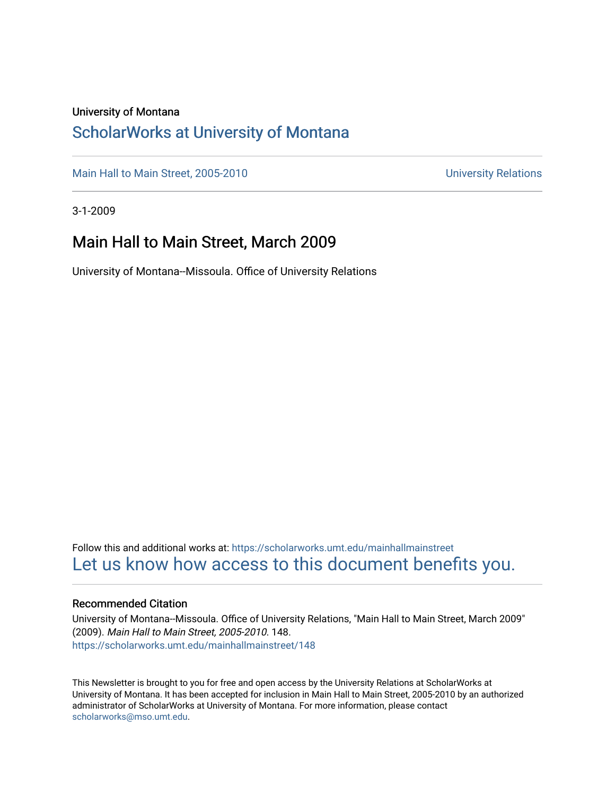### University of Montana

### [ScholarWorks at University of Montana](https://scholarworks.umt.edu/)

[Main Hall to Main Street, 2005-2010](https://scholarworks.umt.edu/mainhallmainstreet) Main Hall to Main Street, 2005-2010

3-1-2009

### Main Hall to Main Street, March 2009

University of Montana--Missoula. Office of University Relations

Follow this and additional works at: [https://scholarworks.umt.edu/mainhallmainstreet](https://scholarworks.umt.edu/mainhallmainstreet?utm_source=scholarworks.umt.edu%2Fmainhallmainstreet%2F148&utm_medium=PDF&utm_campaign=PDFCoverPages) [Let us know how access to this document benefits you.](https://goo.gl/forms/s2rGfXOLzz71qgsB2) 

### Recommended Citation

University of Montana--Missoula. Office of University Relations, "Main Hall to Main Street, March 2009" (2009). Main Hall to Main Street, 2005-2010. 148. [https://scholarworks.umt.edu/mainhallmainstreet/148](https://scholarworks.umt.edu/mainhallmainstreet/148?utm_source=scholarworks.umt.edu%2Fmainhallmainstreet%2F148&utm_medium=PDF&utm_campaign=PDFCoverPages)

This Newsletter is brought to you for free and open access by the University Relations at ScholarWorks at University of Montana. It has been accepted for inclusion in Main Hall to Main Street, 2005-2010 by an authorized administrator of ScholarWorks at University of Montana. For more information, please contact [scholarworks@mso.umt.edu.](mailto:scholarworks@mso.umt.edu)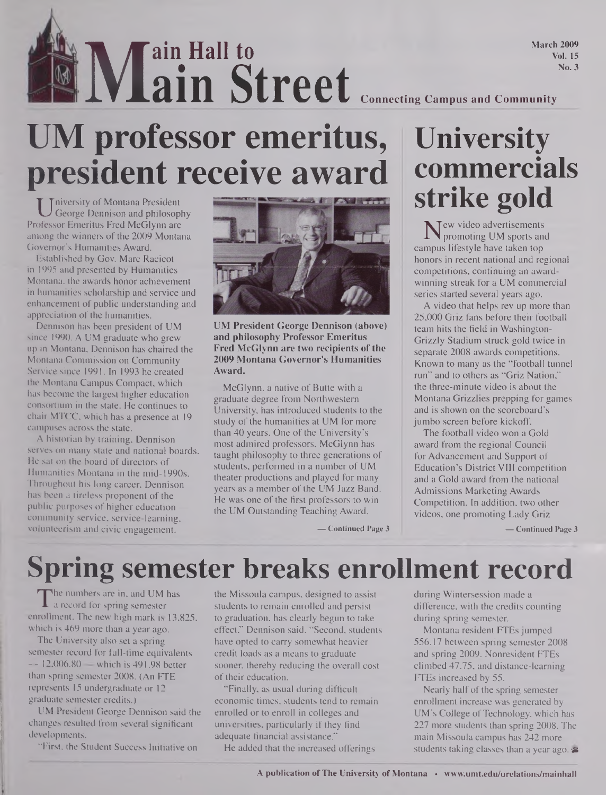**March 2009 Vol. 15 No. 3**

**Main Street** Connecting Campus and Community **ain Hall to ain Street**

# **UM professor emeritus, president receive award**

U niversity of Montana President<br>George Dennison and philosophy<br>ofessor Emeritus Fred McGlynn are niversity of Montana President George Dennison and philosophy among the winners of the 2009 Montana Governor's Humanities Award.

Established by Gov. Marc Racicot in 1995 and presented by Humanities Montana, the awards honor achievement in humanities scholarship and service and enhancement of public understanding and appreciation of the humanities.

Dennison has been president of UM since 1990. A UM graduate who grew up in Montana, Dennison has chaired the Montana Commission on Community Service since 1991. In 1993 he created the Montana Campus Compact, which has become the largest higher education consortium in the state. He continues to chair MTCC, which has a presence at 19 campuses across the state.

A historian by training, Dennison serves on many state and national boards. He sat on the board of directors of Humanities Montana in the mid-1990s. Throughout his long career, Dennison has been a tireless proponent of the public purposes of higher education community service, service-learning, volunteerism and civic engagement.



**UM President George Dennison (above) and philosophy Professor Emeritus Fred McGlynn are two recipients ofthe 2009 Montana Governor's Humanities Award.**

McGlynn, a native of Butte with a graduate degree from Northwestern University, has introduced students to the study of the humanities at UM for more than 40 years. One of the University's most admired professors, McGlynn has taught philosophy to three generations of students, performed in a number of UM theater productions and played for many years as a member of the UM Jazz Band. He was one of the first professors to win the UM Outstanding Teaching Award,

## **University commercials strike gold**

New video advertisements<br>promoting UM sports an<br>mous lifestyle have taken top promoting UM sports and campus lifestyle have taken top honors in recent national and regional competitions, continuing an awardwinning streak for a UM commercial series started several years ago.

A video that helps rev up more than 25,000 Griz fans before their football team hits the field in Washington-Grizzly Stadium struck gold twice in separate 2008 awards competitions. Known to many as the "football tunnel run" and to others as "Griz Nation," the three-minute video is about the Montana Grizzlies prepping for games and is shown on the scoreboard's jumbo screen before kickoff.

The football video won a Gold award from the regional Council for Advancement and Support of Education's District VIII competition and a Gold award from the national Admissions Marketing Awards Competition. In addition, two other videos, one promoting Lady Griz

**— Continued Page 3**

**— Continued Page 3**

# **Spring semester breaks enrollment record**

The numbers are in, and UM has the arecord for spring semester state<br>rollment. The new high mark is 13,825, to he numbers are in, and UM has a record for spring semester which is 469 more than a year ago.

The University also set a spring semester record for full-time equivalents  $-12,006.80$  — which is 491.98 better than spring semester 2008. (An FTE represents 15 undergraduate or 12 graduate semester credits.)

UM President George Dennison said the changes resulted from several significant developments.

"First, the Student Success Initiative on

the Missoula campus, designed to assist students to remain enrolled and persist to graduation, has clearly begun to take effect," Dennison said. "Second, students have opted to carry somewhat heavier credit loads as a means to graduate sooner, thereby reducing the overall cost of their education.

"Finally, as usual during difficult economic times, students tend to remain enrolled or to enroll in colleges and universities, particularly if they find adequate financial assistance."

He added that the increased offerings

during Wintersession made a difference, with the credits counting during spring semester.

Montana resident FTEs jumped 556.17 between spring semester 2008 and spring 2009. Nonresident FTEs climbed 47.75, and distance-learning FTEs increased by 55.

Nearly half of the spring semester enrollment increase was generated by UM's College of Technology, which has 227 more students than spring 2008. The main Missoula campus has 242 more students taking classes than a year ago.  $\blacktriangleright$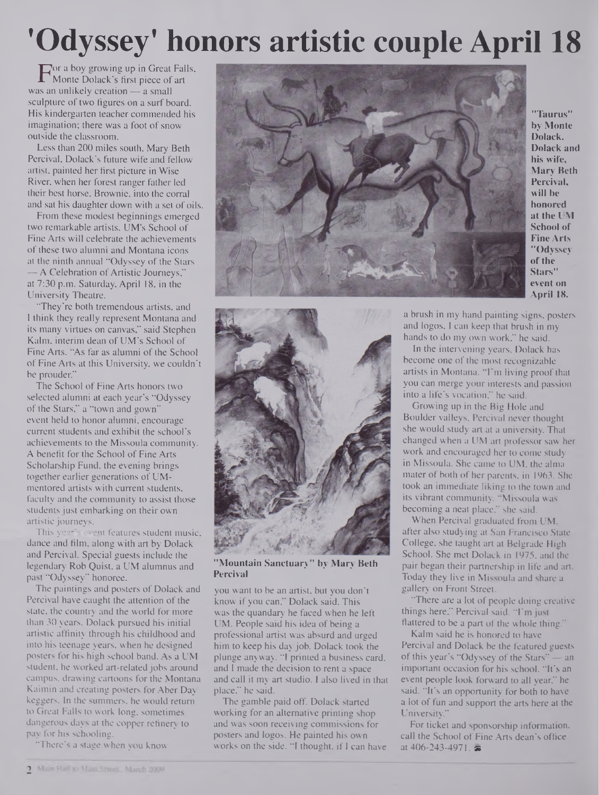# **'Odyssey' honors artistic couple April 18**

For a boy growing up in Great Falls,<br>Monte Dolack's first piece of art<br>is an unlikely creation — a small Monte Dolack's first piece of art was an unlikely creation — a small sculpture of two figures on a surf board. His kindergarten teacher commended his imagination; there was a foot of snow outside the classroom.

Less than 200 miles south, Mary Beth Percival, Dolack's future wife and fellow artist, painted her first picture in Wise River, when her forest ranger father led their best horse, Brownie, into the corral and sat his daughter down with a set of oils.

From these modest beginnings emerged two remarkable artists. UM's School of Fine Arts will celebrate the achievements of these two alumni and Montana icons at the ninth annual "Odyssey of the Stars — A Celebration of Artistic Journeys," at 7:30 p.m. Saturday, April 18, in the University Theatre.

"They're both tremendous artists, and I think they really represent Montana and its many virtues on canvas," said Stephen Kalm, interim dean of UM's School of Fine Arts. "As far as alumni of the School of Fine Arts at this University, we couldn't be prouder."

The School of Fine Arts honors two selected alumni at each year's "Odyssey of the Stars," a "town and gown" event held to honor alumni, encourage current students and exhibit the school's achievements to the Missoula community. A benefit for the School of Fine Arts Scholarship Fund, the evening brings together earlier generations of UMmentored artists with current students, faculty and the community to assist those students just embarking on their own artistic journeys.

This year's event features student music, dance and film, along with art by Dolack and Percival. Special guests include the legendary Rob Quist, a UM alumnus and past "Odyssey" honoree.

The paintings and posters of Dolack and Percival have caught the attention of the slate, the country and the world for more than 30 years. Dolack pursued his initial artistic affinity through his childhood and into his teenage years, when he designed posters for his high school band. As a UM student, he worked art-related jobs around campus, drawing cartoons for the Montana Kaimin and creating posters for Aber Day keggers. In the summers, he would return to Great Falls to work long, sometimes dangerous days at the copper refinery to pay for his schooling.

"There's a stage when you know



**"Taurus" by Monte Dolack. Dolack and his wife, Mary Beth Percival, will be honored at the UM School of Fine Arts "Odyssey ofthe Stars" event on April 18.**



**"Mountain Sanctuary" by Mary Beth Percival**

you want to be an artist, but you don't know if you can," Dolack said. This was the quandary he faced when he left UM. People said his idea of being a professional artist was absurd and urged him to keep his day job. Dolack took the plunge anyway. "I printed a business card, and I made the decision to rent a space and call it my art studio. I also lived in that place," he said.

The gamble paid off. Dolack started working for an alternative printing shop and was soon receiving commissions for posters and logos. He painted his own works on the side. "I thought, if I can have a brush in my hand painting signs, posters and logos, I can keep that brush in my hands to do my own work," he said.

In the intervening years, Dolack has become one of the most recognizable artists in Montana. "I'm living proof that you can merge your interests and passion into a life's vocation," he said.

Growing up in the Big Hole and Boulder valleys, Percival never thought she would study art at a university. That changed when a UM art professor saw her work and encouraged her to come study in Missoula. She came to UM, the alma mater of both of her parents, in 1963. She took an immediate liking to the town and its vibrant community. "Missoula was becoming a neat place," she said.

When Percival graduated from UM, after also studying at San Francisco State College, she taught art at Belgrade High School. She met Dolack in 1975, and the pair began their partnership in life and art. Today they live in Missoula and share a gallery on Front Street.

"There are a lot of people doing creative things here," Percival said. "I'm just flattered to be a part of the whole thing."

Kalm said he is honored to have Percival and Dolack be the featured guests of this year's "Odyssey of the Stars" — an important occasion for his school. "It's an event people look forward to all year," he said. "It's an opportunity for both to have a lot of fun and support the arts here at the University."

For ticket and sponsorship information, call the School of Fine Arts dean's office at  $406 - 243 - 4971$ .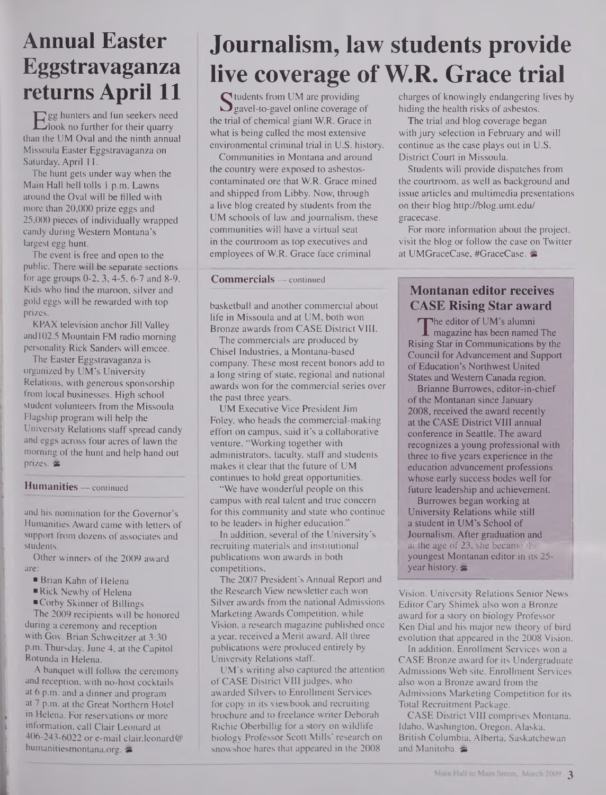### **Annual Easter Eggstravaganza returns April 11**

Egg hunters and fun seekers need<br>hook no further for their quarry<br>an the UM Oval and the ninth annual look no further for their quarry than the UM Oval and the ninth annual Missoula Easter Eggstravaganza on Saturday, April 11.

The hunt gets under way when the Main Hall bell tolls <sup>1</sup> p.m. Lawns around the Oval will be filled with more than 20,000 prize eggs and 25,000 pieces of individually wrapped candy during Western Montana's largest egg hunt.

The event is free and open to the public. There will be separate sections for age groups 0-2, 3,4-5, 6-7 and 8-9. Kids who find the maroon, silver and gold eggs will be rewarded with top prizes.

KPAX television anchor Jill Valley and 102.5 Mountain FM radio morning personality Rick Sanders will emcee.

The Easter Eggstravaganza is organized by UM's University Relations, with generous sponsorship from local businesses. High school student volunteers from the Missoula Flagship program will help the University Relations staff spread candy and eggs across four acres of lawn the morning of the hunt and help hand out prizes. &

#### **Humanities —** continued

and his nomination for the Governor's Humanities Award came with letters of support from dozens of associates and students.

Other winners of the 2009 award are:

- Brian Kahn of Helena
- ■Rick Newby of Helena
- ■Corby Skinner of Billings

The 2009 recipients will be honored during a ceremony and reception with Gov. Brian Schweitzer at 3:30 p.m. Thursday, June 4, at the Capitol Rotunda in Helena.

A banquet will follow the ceremony and reception, with no-host cocktails at 6 p.m. and a dinner and program at 7 p.m. at the Great Northern Hotel in Helena. For reservations or more information, call Clair Leonard at 406-243-6022 or e-mail clair.leonard@ <humanitiesmontana.org>.

### **Journalism, law students provide live coverage of W.R. Grace trial**

tudents from UM are providing gavel-to-gavel online coverage of the trial of chemical giant W.R. Grace in what is being called the most extensive environmental criminal trial in U.S. history.

Communities in Montana and around the country were exposed to asbestoscontaminated ore that W.R. Grace mined and shipped from Libby. Now, through a live blog created by students from the UM schools of law and journalism, these communities will have a virtual seat in the courtroom as top executives and employees of W.R. Grace face criminal

#### **Commercials —** continued

basketball and another commercial about life in Missoula and at UM, both won Bronze awards from CASE District VIII.

The commercials are produced by Chisel Industries, a Montana-based company. These most recent honors add to a long string of state, regional and national awards won for the commercial series over the past three years.

UM Executive Vice President Jim Foley, who heads the commercial-making effort on campus, said it's a collaborative venture. "Working together with administrators, faculty, staff and students makes it clear that the future of UM continues to hold great opportunities.

"We have wonderful people on this campus with real talent and true concern for this community and state who continue to be leaders in higher education."

In addition, several of the University's recruiting materials and institutional publications won awards in both competitions.

The 2007 President's Annual Report and the Research View newsletter each won Silver awards from the national Admissions MarketingAwards Competition, while Vision, a research magazine published once a year, received a Merit award. All three publications were produced entirely by University Relations staff.

UM's writing also captured the attention of CASE District VIII judges, who awarded Silvers to Enrollment Services for copy in its viewbook and recruiting brochure and to freelance writer Deborah Richie Oberbillig for a story on wildlife biology Professor Scott Mills' research on snowshoe hares that appeared in the 2008

charges of knowingly endangering lives by hiding the health risks of asbestos.

The trial and blog coverage began with jury selection in February and will continue as the case plays out in U.S. District Court in Missoula.

Students will provide dispatches from the courtroom, as well as background and issue articles and multimedia presentations on their blog <http://blog.umt.edu/> gracecase.

For more information about the project, visit the blog or follow the case on Twitter at UMGraceCase, #GraceCase.

### **Montanan editor receives CASE Rising Star award**

 $T$  ine equor or UM s alumni<br>magazine has been named The<br>sing Star in Communications by the The editor of UM's alumni Rising Star in Communications by the Council for Advancement and Support of Education's Northwest United States and Western Canada region.

Brianne Burrowes, editor-in-chief of the Montanan since January 2008, received the award recently at the CASE District VIII annual conference in Seattle. The award recognizes a young professional with three to five years experience in the education advancement professions whose early success bodes well for future leadership and achievement.

Burrowes began working at University Relations while still a student in UM's School of Journalism. After graduation and at the age of  $23$ , she became the youngest Montanan editor in its 25 year history.

Vision. University Relations Senior News Editor Cary Shimek also won a Bronze award for a story on biology Professor Ken Dial and his major new theory of bird evolution that appeared in the 2008 Vision.

In addition, Enrollment Services won a CASE Bronze award for its Undergraduate Admissions Web site. Enrollment Services also won a Bronze award from the Admissions Marketing Competition for its Total Recruitment Package.

CASE District VIII comprises Montana, Idaho, Washington, Oregon, Alaska, British Columbia, Alberta, Saskatchewan and Manitoba.